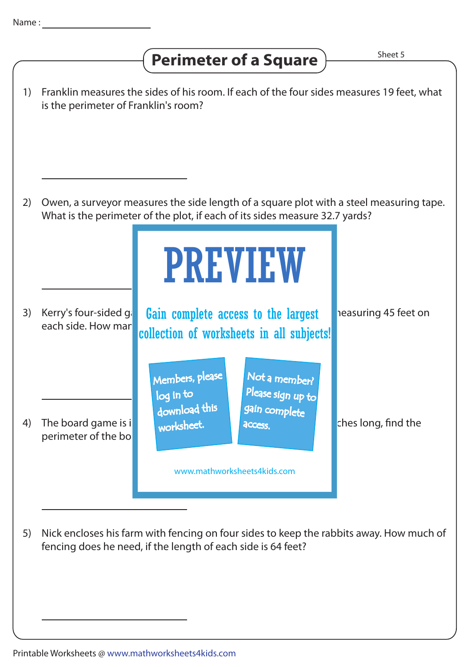## **Perimeter of a Square**  $\overline{\phantom{a}}$  **Perimeter of a Square**

1) Franklin measures the sides of his room. If each of the four sides measures 19 feet, what is the perimeter of Franklin's room? 2) Owen, a surveyor measures the side length of a square plot with a steel measuring tape. What is the perimeter of the plot, if each of its sides measure 32.7 yards? 3) Kerry's four-sided ginglen complete access to the largest peasuring 45 feet on each side. How man**y collection of worksheets in all subjects!** 4) The board game is in the shape of a space of a space of a spanned is 12.2 inches long, find the perimeter of the bo 5) Nick encloses his farm with fencing on four sides to keep the rabbits away. How much of fencing does he need, if the length of each side is 64 feet? PREVIEW www.mathworksheets4kids.com Members, please download this worksheet. log in to Not a member? gain complete Please sign up to **access**